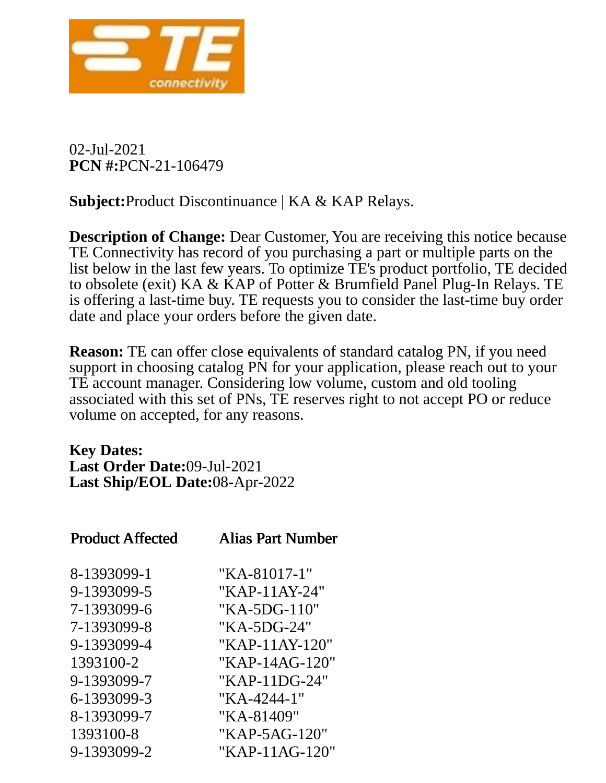

02-Jul-2021 **PCN #:**PCN-21-106479

**Subject:**Product Discontinuance | KA & KAP Relays.

**Description of Change:** Dear Customer, You are receiving this notice because TE Connectivity has record of you purchasing a part or multiple parts on the list below in the last few years. To optimize TE's product portfolio, TE decided to obsolete (exit) KA & KAP of Potter & Brumfield Panel Plug-In Relays. TE is offering a last-time buy. TE requests you to consider the last-time buy order date and place your orders before the given date.

**Reason:** TE can offer close equivalents of standard catalog PN, if you need support in choosing catalog PN for your application, please reach out to your TE account manager. Considering low volume, custom and old tooling associated with this set of PNs, TE reserves right to not accept PO or reduce volume on accepted, for any reasons.

**Key Dates: Last Order Date:**09-Jul-2021 **Last Ship/EOL Date:**08-Apr-2022

| <b>Product Affected</b> | Alias Part Number |
|-------------------------|-------------------|
| 8-1393099-1             | "KA-81017-1"      |
| 9-1393099-5             | "KAP-11AY-24"     |
| 7-1393099-6             | "KA-5DG-110"      |
| 7-1393099-8             | "KA-5DG-24"       |
| 9-1393099-4             | "KAP-11AY-120"    |
| 1393100-2               | "KAP-14AG-120"    |
| 9-1393099-7             | "KAP-11DG-24"     |
| 6-1393099-3             | "KA-4244-1"       |
| 8-1393099-7             | "KA-81409"        |
| 1393100-8               | "KAP-5AG-120"     |
| 9-1393099-2             | "KAP-11AG-120"    |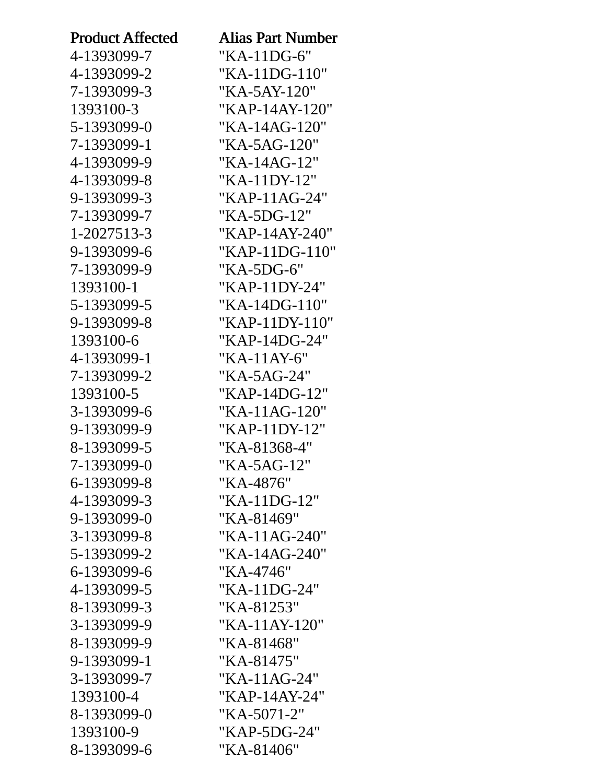| <b>Product Affected</b> | <b>Alias Part Number</b> |
|-------------------------|--------------------------|
| 4-1393099-7             | "KA-11DG-6"              |
| 4-1393099-2             | "KA-11DG-110"            |
| 7-1393099-3             | "KA-5AY-120"             |
| 1393100-3               | "KAP-14AY-120"           |
| 5-1393099-0             | "KA-14AG-120"            |
| 7-1393099-1             | "KA-5AG-120"             |
| 4-1393099-9             | "KA-14AG-12"             |
| 4-1393099-8             | "KA-11DY-12"             |
| 9-1393099-3             | "KAP-11AG-24"            |
| 7-1393099-7             | "KA-5DG-12"              |
| 1-2027513-3             | "KAP-14AY-240"           |
| 9-1393099-6             | "KAP-11DG-110"           |
| 7-1393099-9             | "KA-5DG-6"               |
| 1393100-1               | "KAP-11DY-24"            |
| 5-1393099-5             | $"KA-14DG-110"$          |
| 9-1393099-8             | "KAP-11DY-110"           |
| 1393100-6               | "KAP-14DG-24"            |
| 4-1393099-1             | "KA-11AY-6"              |
| 7-1393099-2             | "KA-5AG-24"              |
| 1393100-5               | "KAP-14DG-12"            |
| 3-1393099-6             | $"KA-11AG-120"$          |
| 9-1393099-9             | "KAP-11DY-12"            |
| 8-1393099-5             | "KA-81368-4"             |
| 7-1393099-0             | "KA-5AG-12"              |
| 6-1393099-8             | "KA-4876"                |
| 4-1393099-3             | "KA-11DG-12"             |
| 9-1393099-0             | "KA-81469"               |
| 3-1393099-8             | "KA-11AG-240"            |
| 5-1393099-2             | "KA-14AG-240"            |
| 6-1393099-6             | "KA-4746"                |
| 4-1393099-5             | "KA-11DG-24"             |
| 8-1393099-3             | "KA-81253"               |
| 3-1393099-9             | "KA-11AY-120"            |
| 8-1393099-9             | "KA-81468"               |
| 9-1393099-1             | "KA-81475"               |
| 3-1393099-7             | "KA-11AG-24"             |
| 1393100-4               | "KAP-14AY-24"            |
| 8-1393099-0             | "KA-5071-2"              |
| 1393100-9               | "KAP-5DG-24"             |
| 8-1393099-6             | "KA-81406"               |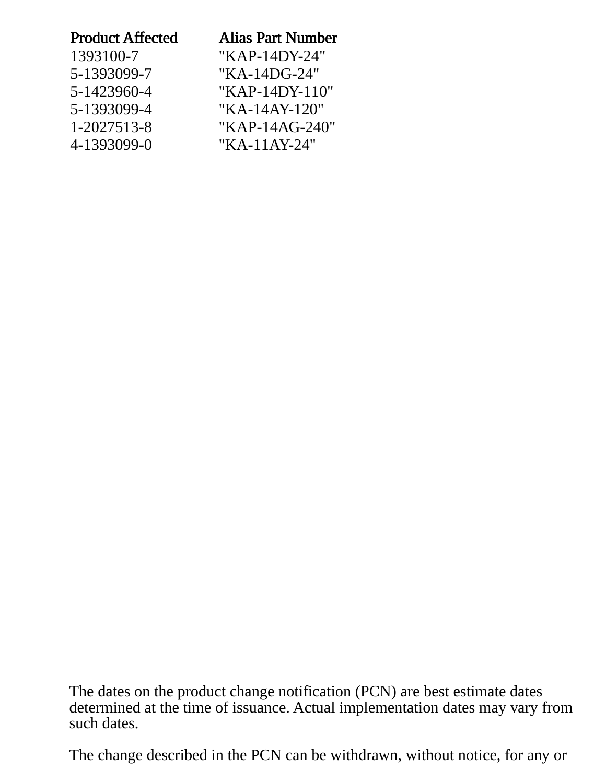| <b>Product Affected</b> | <b>Alias Part Number</b> |  |
|-------------------------|--------------------------|--|
| 1393100-7               | "KAP-14DY-24"            |  |
| 5-1393099-7             | "KA-14DG-24"             |  |
| 5-1423960-4             | "KAP-14DY-110"           |  |
| 5-1393099-4             | "KA-14AY-120"            |  |
| 1-2027513-8             | "KAP-14AG-240"           |  |
| 4-1393099-0             | $"KA-11AY-24"$           |  |
|                         |                          |  |

The dates on the product change notification (PCN) are best estimate dates determined at the time of issuance. Actual implementation dates may vary from such dates.

The change described in the PCN can be withdrawn, without notice, for any or